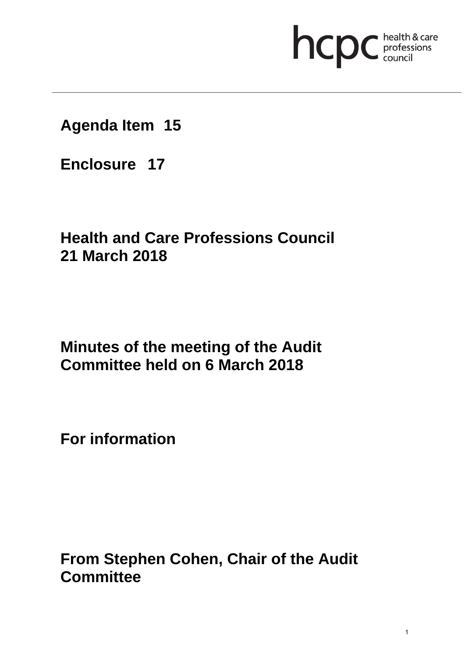## hcpc health & care

### **Agenda Item 15**

**Enclosure 17**

## **Health and Care Professions Council 21 March 2018**

## **Minutes of the meeting of the Audit Committee held on 6 March 2018**

**For information** 

**From Stephen Cohen, Chair of the Audit Committee**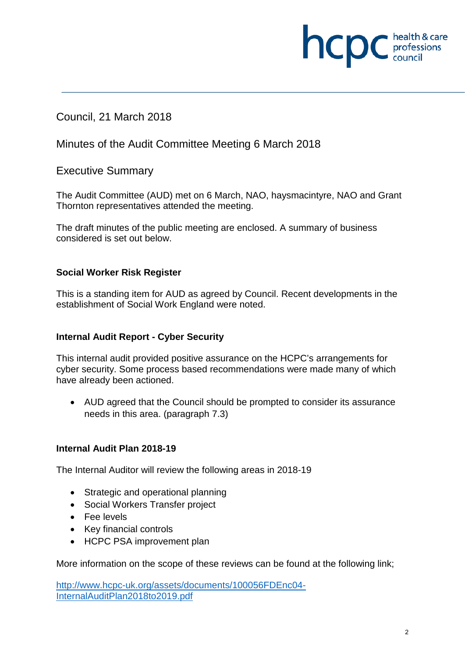## **health & care**

#### Council, 21 March 2018

#### Minutes of the Audit Committee Meeting 6 March 2018

#### Executive Summary

The Audit Committee (AUD) met on 6 March, NAO, haysmacintyre, NAO and Grant Thornton representatives attended the meeting.

The draft minutes of the public meeting are enclosed. A summary of business considered is set out below.

#### **Social Worker Risk Register**

This is a standing item for AUD as agreed by Council. Recent developments in the establishment of Social Work England were noted.

#### **Internal Audit Report - Cyber Security**

This internal audit provided positive assurance on the HCPC's arrangements for cyber security. Some process based recommendations were made many of which have already been actioned.

• AUD agreed that the Council should be prompted to consider its assurance needs in this area. (paragraph 7.3)

#### **Internal Audit Plan 2018-19**

The Internal Auditor will review the following areas in 2018-19

- Strategic and operational planning
- Social Workers Transfer project
- Fee levels
- Key financial controls
- HCPC PSA improvement plan

More information on the scope of these reviews can be found at the following link;

http://www.hcpc-uk.org/assets/documents/100056FDEnc04- InternalAuditPlan2018to2019.pdf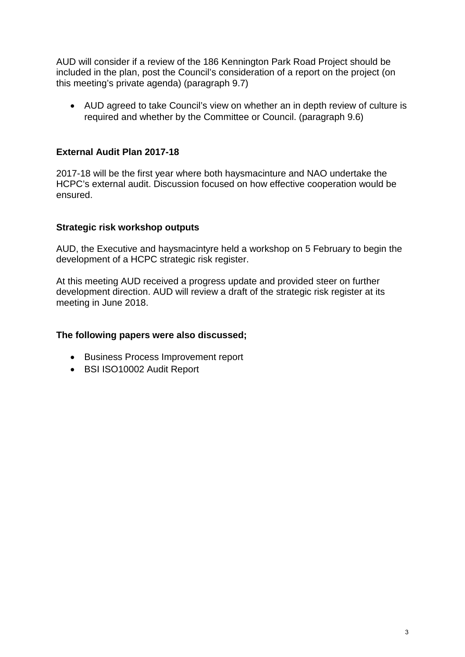AUD will consider if a review of the 186 Kennington Park Road Project should be included in the plan, post the Council's consideration of a report on the project (on this meeting's private agenda) (paragraph 9.7)

• AUD agreed to take Council's view on whether an in depth review of culture is required and whether by the Committee or Council. (paragraph 9.6)

#### **External Audit Plan 2017-18**

2017-18 will be the first year where both haysmacinture and NAO undertake the HCPC's external audit. Discussion focused on how effective cooperation would be ensured.

#### **Strategic risk workshop outputs**

AUD, the Executive and haysmacintyre held a workshop on 5 February to begin the development of a HCPC strategic risk register.

At this meeting AUD received a progress update and provided steer on further development direction. AUD will review a draft of the strategic risk register at its meeting in June 2018.

#### **The following papers were also discussed;**

- Business Process Improvement report
- BSI ISO10002 Audit Report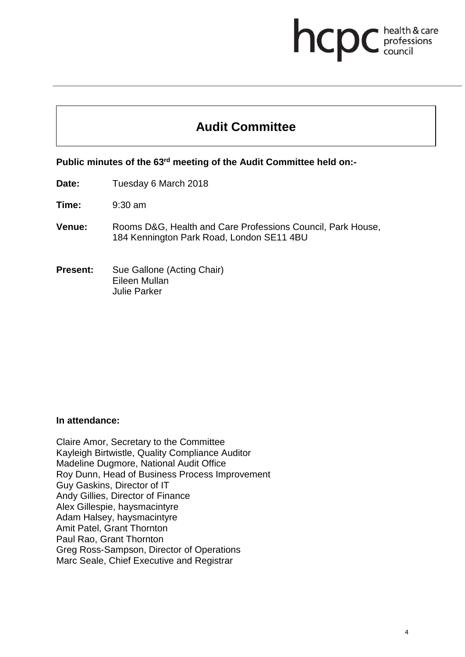# **health & care**

### **Audit Committee**

**Public minutes of the 63rd meeting of the Audit Committee held on:-** 

**Date:** Tuesday 6 March 2018

**Time:** 9:30 am

- **Venue:** Rooms D&G, Health and Care Professions Council, Park House, 184 Kennington Park Road, London SE11 4BU
- **Present:** Sue Gallone (Acting Chair) Eileen Mullan Julie Parker

#### **In attendance:**

Claire Amor, Secretary to the Committee Kayleigh Birtwistle, Quality Compliance Auditor Madeline Dugmore, National Audit Office Roy Dunn, Head of Business Process Improvement Guy Gaskins, Director of IT Andy Gillies, Director of Finance Alex Gillespie, haysmacintyre Adam Halsey, haysmacintyre Amit Patel, Grant Thornton Paul Rao, Grant Thornton Greg Ross-Sampson, Director of Operations Marc Seale, Chief Executive and Registrar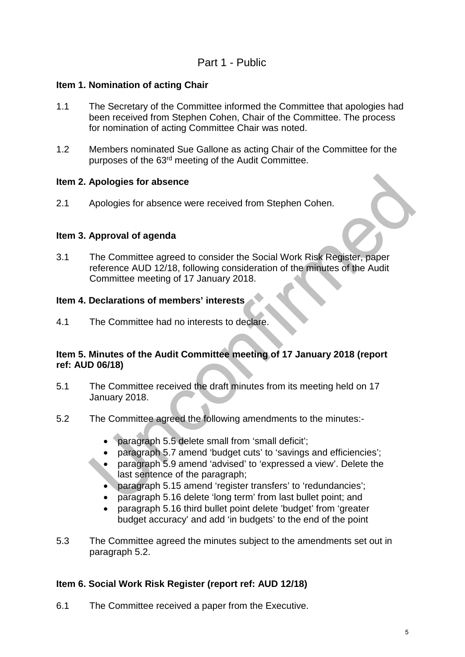#### Part 1 - Public

#### **Item 1. Nomination of acting Chair**

- 1.1 The Secretary of the Committee informed the Committee that apologies had been received from Stephen Cohen, Chair of the Committee. The process for nomination of acting Committee Chair was noted.
- 1.2 Members nominated Sue Gallone as acting Chair of the Committee for the purposes of the 63rd meeting of the Audit Committee.

#### **Item 2. Apologies for absence**

2.1 Apologies for absence were received from Stephen Cohen.

#### **Item 3. Approval of agenda**

3.1 The Committee agreed to consider the Social Work Risk Register, paper reference AUD 12/18, following consideration of the minutes of the Audit Committee meeting of 17 January 2018.

#### **Item 4. Declarations of members' interests**

4.1 The Committee had no interests to declare.

#### **Item 5. Minutes of the Audit Committee meeting of 17 January 2018 (report ref: AUD 06/18)**

- 5.1 The Committee received the draft minutes from its meeting held on 17 January 2018.
- 5.2 The Committee agreed the following amendments to the minutes:-
	- paragraph 5.5 delete small from 'small deficit';
	- paragraph 5.7 amend 'budget cuts' to 'savings and efficiencies';
	- paragraph 5.9 amend 'advised' to 'expressed a view'. Delete the last sentence of the paragraph;
	- paragraph 5.15 amend 'register transfers' to 'redundancies';
	- paragraph 5.16 delete 'long term' from last bullet point; and
	- paragraph 5.16 third bullet point delete 'budget' from 'greater budget accuracy' and add 'in budgets' to the end of the point
- 5.3 The Committee agreed the minutes subject to the amendments set out in paragraph 5.2.

#### **Item 6. Social Work Risk Register (report ref: AUD 12/18)**

6.1 The Committee received a paper from the Executive.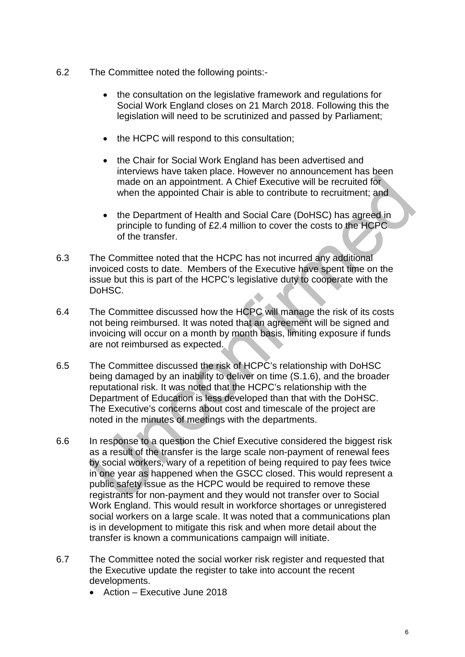- 6.2 The Committee noted the following points:-
	- the consultation on the legislative framework and regulations for Social Work England closes on 21 March 2018. Following this the legislation will need to be scrutinized and passed by Parliament;
	- the HCPC will respond to this consultation;
	- the Chair for Social Work England has been advertised and interviews have taken place. However no announcement has been made on an appointment. A Chief Executive will be recruited for when the appointed Chair is able to contribute to recruitment; and
	- the Department of Health and Social Care (DoHSC) has agreed in principle to funding of £2.4 million to cover the costs to the HCPC of the transfer.
- 6.3 The Committee noted that the HCPC has not incurred any additional invoiced costs to date. Members of the Executive have spent time on the issue but this is part of the HCPC's legislative duty to cooperate with the DoHSC.
- 6.4 The Committee discussed how the HCPC will manage the risk of its costs not being reimbursed. It was noted that an agreement will be signed and invoicing will occur on a month by month basis, limiting exposure if funds are not reimbursed as expected.
- 6.5 The Committee discussed the risk of HCPC's relationship with DoHSC being damaged by an inability to deliver on time (S.1.6), and the broader reputational risk. It was noted that the HCPC's relationship with the Department of Education is less developed than that with the DoHSC. The Executive's concerns about cost and timescale of the project are noted in the minutes of meetings with the departments.
- 6.6 In response to a question the Chief Executive considered the biggest risk as a result of the transfer is the large scale non-payment of renewal fees by social workers, wary of a repetition of being required to pay fees twice in one year as happened when the GSCC closed. This would represent a public safety issue as the HCPC would be required to remove these registrants for non-payment and they would not transfer over to Social Work England. This would result in workforce shortages or unregistered social workers on a large scale. It was noted that a communications plan is in development to mitigate this risk and when more detail about the transfer is known a communications campaign will initiate.
- 6.7 The Committee noted the social worker risk register and requested that the Executive update the register to take into account the recent developments.
	- Action Executive June 2018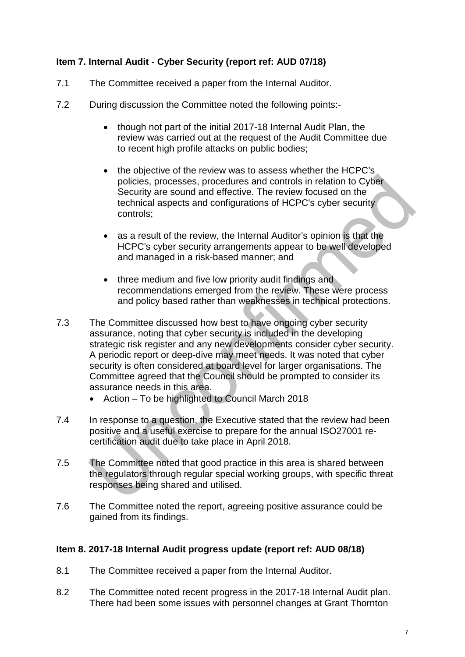#### **Item 7. Internal Audit - Cyber Security (report ref: AUD 07/18)**

- 7.1 The Committee received a paper from the Internal Auditor.
- 7.2 During discussion the Committee noted the following points:-
	- though not part of the initial 2017-18 Internal Audit Plan, the review was carried out at the request of the Audit Committee due to recent high profile attacks on public bodies;
	- the objective of the review was to assess whether the HCPC's policies, processes, procedures and controls in relation to Cyber Security are sound and effective. The review focused on the technical aspects and configurations of HCPC's cyber security controls;
	- as a result of the review, the Internal Auditor's opinion is that the HCPC's cyber security arrangements appear to be well developed and managed in a risk-based manner; and
	- three medium and five low priority audit findings and recommendations emerged from the review. These were process and policy based rather than weaknesses in technical protections.
- 7.3 The Committee discussed how best to have ongoing cyber security assurance, noting that cyber security is included in the developing strategic risk register and any new developments consider cyber security. A periodic report or deep-dive may meet needs. It was noted that cyber security is often considered at board level for larger organisations. The Committee agreed that the Council should be prompted to consider its assurance needs in this area.
	- Action To be highlighted to Council March 2018
- 7.4 In response to a question, the Executive stated that the review had been positive and a useful exercise to prepare for the annual ISO27001 recertification audit due to take place in April 2018.
- 7.5 The Committee noted that good practice in this area is shared between the regulators through regular special working groups, with specific threat responses being shared and utilised.
- 7.6 The Committee noted the report, agreeing positive assurance could be gained from its findings.

#### **Item 8. 2017-18 Internal Audit progress update (report ref: AUD 08/18)**

- 8.1 The Committee received a paper from the Internal Auditor.
- 8.2 The Committee noted recent progress in the 2017-18 Internal Audit plan. There had been some issues with personnel changes at Grant Thornton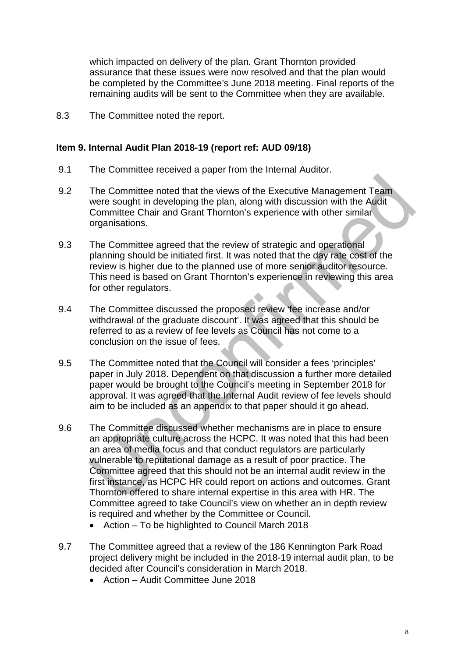which impacted on delivery of the plan. Grant Thornton provided assurance that these issues were now resolved and that the plan would be completed by the Committee's June 2018 meeting. Final reports of the remaining audits will be sent to the Committee when they are available.

8.3 The Committee noted the report.

#### **Item 9. Internal Audit Plan 2018-19 (report ref: AUD 09/18)**

- 9.1 The Committee received a paper from the Internal Auditor.
- 9.2 The Committee noted that the views of the Executive Management Team were sought in developing the plan, along with discussion with the Audit Committee Chair and Grant Thornton's experience with other similar organisations.
- 9.3 The Committee agreed that the review of strategic and operational planning should be initiated first. It was noted that the day rate cost of the review is higher due to the planned use of more senior auditor resource. This need is based on Grant Thornton's experience in reviewing this area for other regulators.
- 9.4 The Committee discussed the proposed review 'fee increase and/or withdrawal of the graduate discount'. It was agreed that this should be referred to as a review of fee levels as Council has not come to a conclusion on the issue of fees.
- 9.5 The Committee noted that the Council will consider a fees 'principles' paper in July 2018. Dependent on that discussion a further more detailed paper would be brought to the Council's meeting in September 2018 for approval. It was agreed that the Internal Audit review of fee levels should aim to be included as an appendix to that paper should it go ahead.
- 9.6 The Committee discussed whether mechanisms are in place to ensure an appropriate culture across the HCPC. It was noted that this had been an area of media focus and that conduct regulators are particularly vulnerable to reputational damage as a result of poor practice. The Committee agreed that this should not be an internal audit review in the first instance, as HCPC HR could report on actions and outcomes. Grant Thornton offered to share internal expertise in this area with HR. The Committee agreed to take Council's view on whether an in depth review is required and whether by the Committee or Council.
	- Action To be highlighted to Council March 2018
- 9.7 The Committee agreed that a review of the 186 Kennington Park Road project delivery might be included in the 2018-19 internal audit plan, to be decided after Council's consideration in March 2018.
	- Action Audit Committee June 2018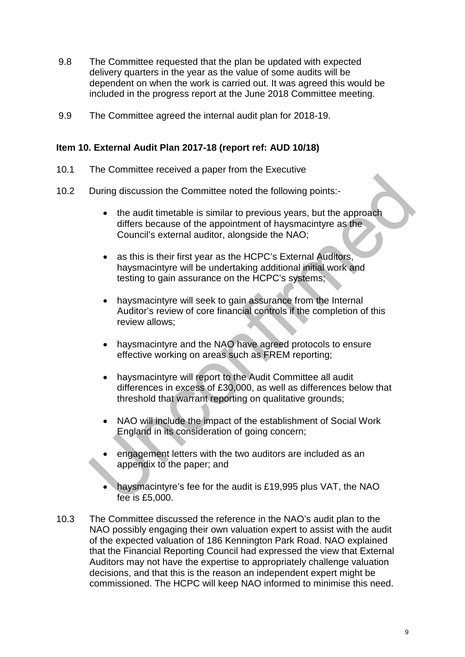- 9.8 The Committee requested that the plan be updated with expected delivery quarters in the year as the value of some audits will be dependent on when the work is carried out. It was agreed this would be included in the progress report at the June 2018 Committee meeting.
- 9.9 The Committee agreed the internal audit plan for 2018-19.

#### **Item 10. External Audit Plan 2017-18 (report ref: AUD 10/18)**

- 10.1 The Committee received a paper from the Executive
- 10.2 During discussion the Committee noted the following points:-
	- the audit timetable is similar to previous years, but the approach differs because of the appointment of haysmacintyre as the Council's external auditor, alongside the NAO;
	- as this is their first year as the HCPC's External Auditors, haysmacintyre will be undertaking additional initial work and testing to gain assurance on the HCPC's systems;
	- haysmacintyre will seek to gain assurance from the Internal Auditor's review of core financial controls if the completion of this review allows;
	- haysmacintyre and the NAO have agreed protocols to ensure effective working on areas such as FREM reporting;
	- haysmacintyre will report to the Audit Committee all audit differences in excess of £30,000, as well as differences below that threshold that warrant reporting on qualitative grounds;
	- NAO will include the impact of the establishment of Social Work England in its consideration of going concern;
	- engagement letters with the two auditors are included as an appendix to the paper; and
	- haysmacintyre's fee for the audit is £19,995 plus VAT, the NAO fee is £5,000.
- 10.3 The Committee discussed the reference in the NAO's audit plan to the NAO possibly engaging their own valuation expert to assist with the audit of the expected valuation of 186 Kennington Park Road. NAO explained that the Financial Reporting Council had expressed the view that External Auditors may not have the expertise to appropriately challenge valuation decisions, and that this is the reason an independent expert might be commissioned. The HCPC will keep NAO informed to minimise this need.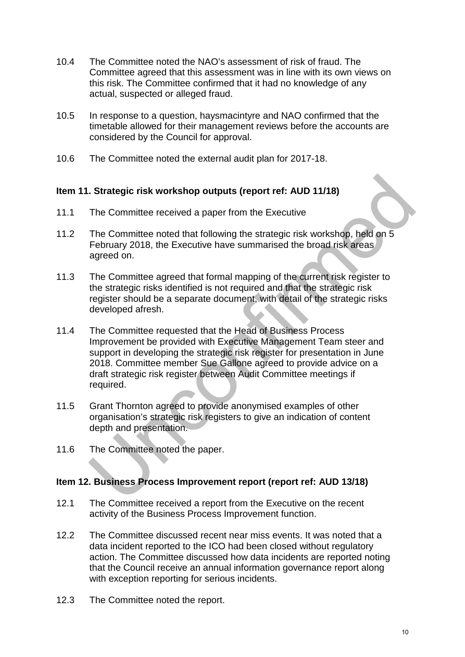- 10.4 The Committee noted the NAO's assessment of risk of fraud. The Committee agreed that this assessment was in line with its own views on this risk. The Committee confirmed that it had no knowledge of any actual, suspected or alleged fraud.
- 10.5 In response to a question, haysmacintyre and NAO confirmed that the timetable allowed for their management reviews before the accounts are considered by the Council for approval.
- 10.6 The Committee noted the external audit plan for 2017-18.

#### **Item 11. Strategic risk workshop outputs (report ref: AUD 11/18)**

- 11.1 The Committee received a paper from the Executive
- 11.2 The Committee noted that following the strategic risk workshop, held on 5 February 2018, the Executive have summarised the broad risk areas agreed on.
- 11.3 The Committee agreed that formal mapping of the current risk register to the strategic risks identified is not required and that the strategic risk register should be a separate document, with detail of the strategic risks developed afresh.
- 11.4 The Committee requested that the Head of Business Process Improvement be provided with Executive Management Team steer and support in developing the strategic risk register for presentation in June 2018. Committee member Sue Gallone agreed to provide advice on a draft strategic risk register between Audit Committee meetings if required.
- 11.5 Grant Thornton agreed to provide anonymised examples of other organisation's strategic risk registers to give an indication of content depth and presentation.
- 11.6 The Committee noted the paper.

#### **Item 12. Business Process Improvement report (report ref: AUD 13/18)**

- 12.1 The Committee received a report from the Executive on the recent activity of the Business Process Improvement function.
- 12.2 The Committee discussed recent near miss events. It was noted that a data incident reported to the ICO had been closed without regulatory action. The Committee discussed how data incidents are reported noting that the Council receive an annual information governance report along with exception reporting for serious incidents.
- 12.3 The Committee noted the report.